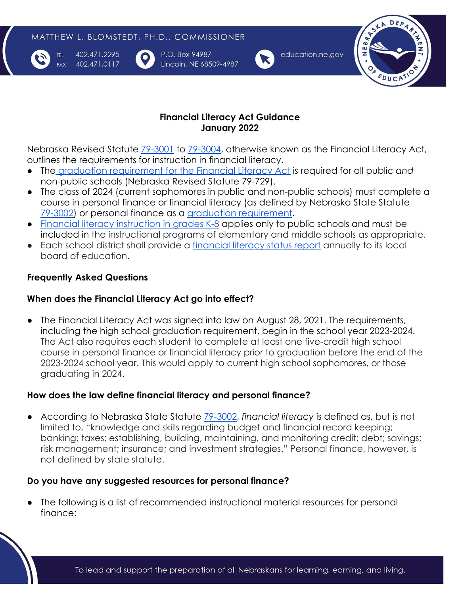

TFL.

**FAX** 

402.471.2295 402.471.0117 P.O. Box 94987 Lincoln, NE 68509-4987



education.ne.gov



## **Financial Literacy Act Guidance January 2022**

Nebraska Revised Statute [79-3001](https://nebraskalegislature.gov/laws/statutes.php?statute=79-3001) to [79-3004](https://nebraskalegislature.gov/laws/statutes.php?statute=79-3004), otherwise known as the Financial Literacy Act, outlines the requirements for instruction in financial literacy.

- The [graduation requirement for the Financial Literacy](https://nebraskalegislature.gov/laws/statutes.php?statute=79-729) Act is required for all public *and* non-public schools (Nebraska Revised Statute 79-729).
- The class of 2024 (current sophomores in public and non-public schools) must complete a course in personal finance or financial literacy (as defined by Nebraska State Statute [79-3002\)](https://nebraskalegislature.gov/laws/statutes.php?statute=79-3002) or personal finance as a [graduation requirement](https://nebraskalegislature.gov/laws/statutes.php?statute=79-3003).
- [Financial literacy instruction in grades K-8](https://nebraskalegislature.gov/laws/statutes.php?statute=79-3003) applies only to public schools and must be included in the instructional programs of elementary and middle schools as appropriate.
- Each school district shall provide a [financial literacy](https://nebraskalegislature.gov/laws/statutes.php?statute=79-3004) status report annually to its local board of education.

# **Frequently Asked Questions**

## **When does the Financial Literacy Act go into effect?**

● The Financial Literacy Act was signed into law on August 28, 2021. The requirements, including the high school graduation requirement, begin in the school year 2023-2024. The Act also requires each student to complete at least one five-credit high school course in personal finance or financial literacy prior to graduation before the end of the 2023-2024 school year. This would apply to current high school sophomores, or those graduating in 2024.

## **How does the law define financial literacy and personal finance?**

● According to Nebraska State Statute [79-3002](https://nebraskalegislature.gov/laws/statutes.php?statute=79-3002), *financial literacy* is defined as, but is not limited to, "knowledge and skills regarding budget and financial record keeping; banking; taxes; establishing, building, maintaining, and monitoring credit; debt; savings; risk management; insurance; and investment strategies." Personal finance, however, is not defined by state statute.

## **Do you have any suggested resources for personal finance?**

● The following is a list of recommended instructional material resources for personal finance: